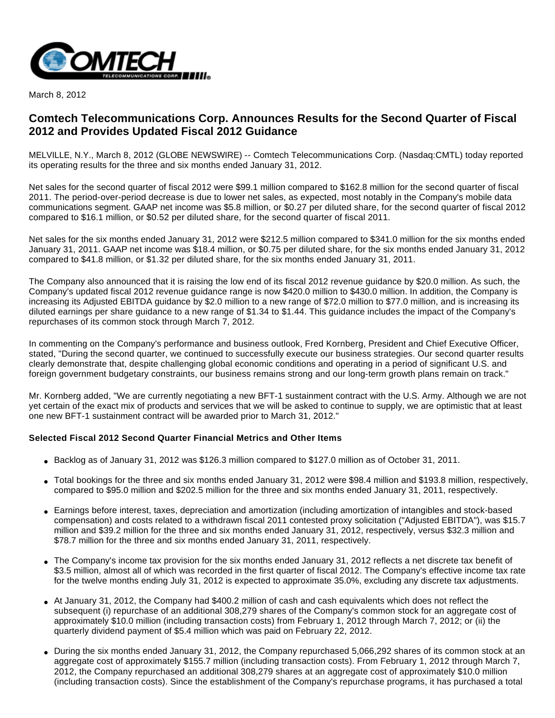

March 8, 2012

# **Comtech Telecommunications Corp. Announces Results for the Second Quarter of Fiscal 2012 and Provides Updated Fiscal 2012 Guidance**

MELVILLE, N.Y., March 8, 2012 (GLOBE NEWSWIRE) -- Comtech Telecommunications Corp. (Nasdaq:CMTL) today reported its operating results for the three and six months ended January 31, 2012.

Net sales for the second quarter of fiscal 2012 were \$99.1 million compared to \$162.8 million for the second quarter of fiscal 2011. The period-over-period decrease is due to lower net sales, as expected, most notably in the Company's mobile data communications segment. GAAP net income was \$5.8 million, or \$0.27 per diluted share, for the second quarter of fiscal 2012 compared to \$16.1 million, or \$0.52 per diluted share, for the second quarter of fiscal 2011.

Net sales for the six months ended January 31, 2012 were \$212.5 million compared to \$341.0 million for the six months ended January 31, 2011. GAAP net income was \$18.4 million, or \$0.75 per diluted share, for the six months ended January 31, 2012 compared to \$41.8 million, or \$1.32 per diluted share, for the six months ended January 31, 2011.

The Company also announced that it is raising the low end of its fiscal 2012 revenue guidance by \$20.0 million. As such, the Company's updated fiscal 2012 revenue guidance range is now \$420.0 million to \$430.0 million. In addition, the Company is increasing its Adjusted EBITDA guidance by \$2.0 million to a new range of \$72.0 million to \$77.0 million, and is increasing its diluted earnings per share guidance to a new range of \$1.34 to \$1.44. This guidance includes the impact of the Company's repurchases of its common stock through March 7, 2012.

In commenting on the Company's performance and business outlook, Fred Kornberg, President and Chief Executive Officer, stated, "During the second quarter, we continued to successfully execute our business strategies. Our second quarter results clearly demonstrate that, despite challenging global economic conditions and operating in a period of significant U.S. and foreign government budgetary constraints, our business remains strong and our long-term growth plans remain on track."

Mr. Kornberg added, "We are currently negotiating a new BFT-1 sustainment contract with the U.S. Army. Although we are not yet certain of the exact mix of products and services that we will be asked to continue to supply, we are optimistic that at least one new BFT-1 sustainment contract will be awarded prior to March 31, 2012."

### **Selected Fiscal 2012 Second Quarter Financial Metrics and Other Items**

- Backlog as of January 31, 2012 was \$126.3 million compared to \$127.0 million as of October 31, 2011.
- Total bookings for the three and six months ended January 31, 2012 were \$98.4 million and \$193.8 million, respectively, compared to \$95.0 million and \$202.5 million for the three and six months ended January 31, 2011, respectively.
- Earnings before interest, taxes, depreciation and amortization (including amortization of intangibles and stock-based compensation) and costs related to a withdrawn fiscal 2011 contested proxy solicitation ("Adjusted EBITDA"), was \$15.7 million and \$39.2 million for the three and six months ended January 31, 2012, respectively, versus \$32.3 million and \$78.7 million for the three and six months ended January 31, 2011, respectively.
- The Company's income tax provision for the six months ended January 31, 2012 reflects a net discrete tax benefit of \$3.5 million, almost all of which was recorded in the first quarter of fiscal 2012. The Company's effective income tax rate for the twelve months ending July 31, 2012 is expected to approximate 35.0%, excluding any discrete tax adjustments.
- At January 31, 2012, the Company had \$400.2 million of cash and cash equivalents which does not reflect the subsequent (i) repurchase of an additional 308,279 shares of the Company's common stock for an aggregate cost of approximately \$10.0 million (including transaction costs) from February 1, 2012 through March 7, 2012; or (ii) the quarterly dividend payment of \$5.4 million which was paid on February 22, 2012.
- During the six months ended January 31, 2012, the Company repurchased 5,066,292 shares of its common stock at an aggregate cost of approximately \$155.7 million (including transaction costs). From February 1, 2012 through March 7, 2012, the Company repurchased an additional 308,279 shares at an aggregate cost of approximately \$10.0 million (including transaction costs). Since the establishment of the Company's repurchase programs, it has purchased a total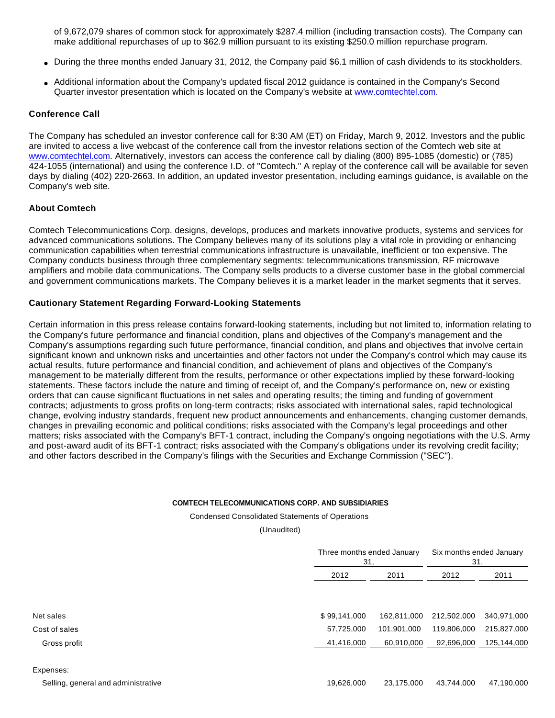of 9,672,079 shares of common stock for approximately \$287.4 million (including transaction costs). The Company can make additional repurchases of up to \$62.9 million pursuant to its existing \$250.0 million repurchase program.

- During the three months ended January 31, 2012, the Company paid \$6.1 million of cash dividends to its stockholders.
- Additional information about the Company's updated fiscal 2012 guidance is contained in the Company's Second Quarter investor presentation which is located on the Company's website at [www.comtechtel.com.](http://www.comtechtel.com/)

#### **Conference Call**

The Company has scheduled an investor conference call for 8:30 AM (ET) on Friday, March 9, 2012. Investors and the public are invited to access a live webcast of the conference call from the investor relations section of the Comtech web site at [www.comtechtel.com](http://www.comtechtel.com/). Alternatively, investors can access the conference call by dialing (800) 895-1085 (domestic) or (785) 424-1055 (international) and using the conference I.D. of "Comtech." A replay of the conference call will be available for seven days by dialing (402) 220-2663. In addition, an updated investor presentation, including earnings guidance, is available on the Company's web site.

### **About Comtech**

Comtech Telecommunications Corp. designs, develops, produces and markets innovative products, systems and services for advanced communications solutions. The Company believes many of its solutions play a vital role in providing or enhancing communication capabilities when terrestrial communications infrastructure is unavailable, inefficient or too expensive. The Company conducts business through three complementary segments: telecommunications transmission, RF microwave amplifiers and mobile data communications. The Company sells products to a diverse customer base in the global commercial and government communications markets. The Company believes it is a market leader in the market segments that it serves.

### **Cautionary Statement Regarding Forward-Looking Statements**

Certain information in this press release contains forward-looking statements, including but not limited to, information relating to the Company's future performance and financial condition, plans and objectives of the Company's management and the Company's assumptions regarding such future performance, financial condition, and plans and objectives that involve certain significant known and unknown risks and uncertainties and other factors not under the Company's control which may cause its actual results, future performance and financial condition, and achievement of plans and objectives of the Company's management to be materially different from the results, performance or other expectations implied by these forward-looking statements. These factors include the nature and timing of receipt of, and the Company's performance on, new or existing orders that can cause significant fluctuations in net sales and operating results; the timing and funding of government contracts; adjustments to gross profits on long-term contracts; risks associated with international sales, rapid technological change, evolving industry standards, frequent new product announcements and enhancements, changing customer demands, changes in prevailing economic and political conditions; risks associated with the Company's legal proceedings and other matters; risks associated with the Company's BFT-1 contract, including the Company's ongoing negotiations with the U.S. Army and post-award audit of its BFT-1 contract; risks associated with the Company's obligations under its revolving credit facility; and other factors described in the Company's filings with the Securities and Exchange Commission ("SEC").

#### **COMTECH TELECOMMUNICATIONS CORP. AND SUBSIDIARIES**

Condensed Consolidated Statements of Operations

(Unaudited)

|              | Three months ended January<br>31, |             | Six months ended January<br>31, |  |
|--------------|-----------------------------------|-------------|---------------------------------|--|
| 2012         | 2011                              |             | 2011                            |  |
| \$99,141,000 | 162,811,000                       | 212,502,000 | 340,971,000                     |  |
| 57,725,000   | 101,901,000                       | 119,806,000 | 215,827,000                     |  |
| 41,416,000   | 60,910,000                        | 92,696,000  | 125,144,000                     |  |

#### Expenses: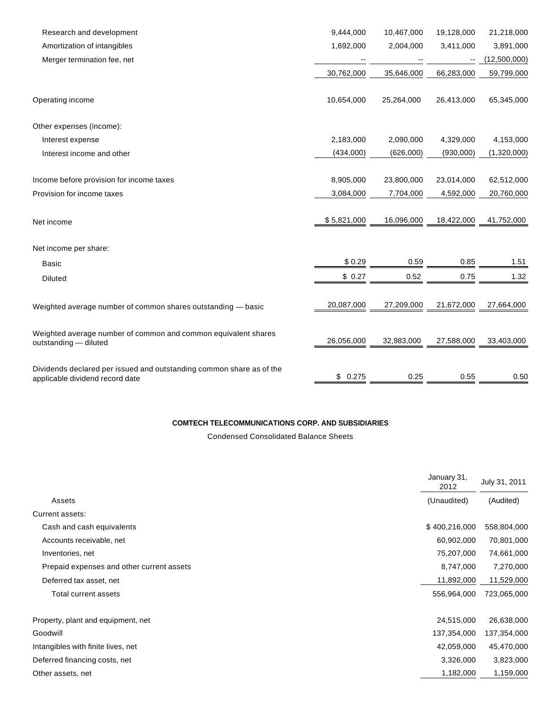| Research and development                                                                | 9,444,000   | 10,467,000 | 19,128,000               | 21,218,000   |
|-----------------------------------------------------------------------------------------|-------------|------------|--------------------------|--------------|
| Amortization of intangibles                                                             | 1,692,000   | 2,004,000  | 3,411,000                | 3,891,000    |
| Merger termination fee, net                                                             |             |            | $\overline{\phantom{m}}$ | (12,500,000) |
|                                                                                         | 30,762,000  | 35,646,000 | 66,283,000               | 59,799,000   |
| Operating income                                                                        | 10,654,000  | 25,264,000 | 26,413,000               | 65,345,000   |
| Other expenses (income):                                                                |             |            |                          |              |
| Interest expense                                                                        | 2,183,000   | 2,090,000  | 4,329,000                | 4,153,000    |
| Interest income and other                                                               | (434,000)   | (626,000)  | (930,000)                | (1,320,000)  |
| Income before provision for income taxes                                                | 8,905,000   | 23,800,000 | 23,014,000               | 62,512,000   |
| Provision for income taxes                                                              | 3,084,000   | 7,704,000  | 4,592,000                | 20,760,000   |
|                                                                                         |             |            |                          |              |
| Net income                                                                              | \$5,821,000 | 16,096,000 | 18,422,000               | 41,752,000   |
| Net income per share:                                                                   |             |            |                          |              |
| <b>Basic</b>                                                                            | \$0.29      | 0.59       | 0.85                     | 1.51         |
| <b>Diluted</b>                                                                          | \$0.27      | 0.52       | 0.75                     | 1.32         |
| Weighted average number of common shares outstanding - basic                            | 20,087,000  | 27,209,000 | 21,672,000               | 27,664,000   |
| Weighted average number of common and common equivalent shares<br>outstanding - diluted | 26,056,000  | 32,983,000 | 27,588,000               | 33,403,000   |
| Dividends declared per issued and outstanding common share as of the                    | 0.275<br>\$ | 0.25       | 0.55                     | 0.50         |
| applicable dividend record date                                                         |             |            |                          |              |

### **COMTECH TELECOMMUNICATIONS CORP. AND SUBSIDIARIES**

Condensed Consolidated Balance Sheets

|                                           | January 31,<br>2012 | July 31, 2011 |
|-------------------------------------------|---------------------|---------------|
| Assets                                    | (Unaudited)         | (Audited)     |
| Current assets:                           |                     |               |
| Cash and cash equivalents                 | \$400,216,000       | 558,804,000   |
| Accounts receivable, net                  | 60,902,000          | 70,801,000    |
| Inventories, net                          | 75,207,000          | 74,661,000    |
| Prepaid expenses and other current assets | 8,747,000           | 7,270,000     |
| Deferred tax asset, net                   | 11,892,000          | 11,529,000    |
| Total current assets                      | 556,964,000         | 723,065,000   |
| Property, plant and equipment, net        | 24,515,000          | 26,638,000    |
| Goodwill                                  | 137,354,000         | 137,354,000   |
| Intangibles with finite lives, net        | 42,059,000          | 45,470,000    |
| Deferred financing costs, net             | 3,326,000           | 3,823,000     |
| Other assets, net                         | 1,182,000           | 1,159,000     |
|                                           |                     |               |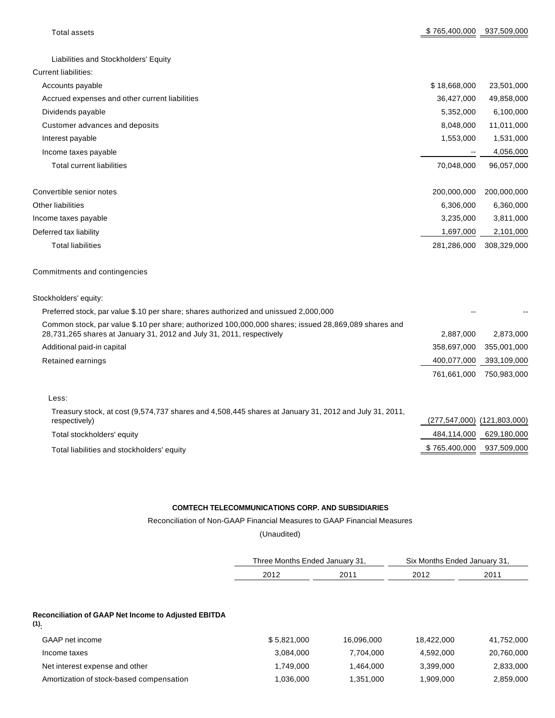| <b>Total assets</b>                                                                                                                                                           | \$765,400,000               | 937,509,000 |
|-------------------------------------------------------------------------------------------------------------------------------------------------------------------------------|-----------------------------|-------------|
|                                                                                                                                                                               |                             |             |
| Liabilities and Stockholders' Equity                                                                                                                                          |                             |             |
| <b>Current liabilities:</b>                                                                                                                                                   |                             |             |
| Accounts payable                                                                                                                                                              | \$18,668,000                | 23,501,000  |
| Accrued expenses and other current liabilities                                                                                                                                | 36,427,000                  | 49,858,000  |
| Dividends payable                                                                                                                                                             | 5,352,000                   | 6,100,000   |
| Customer advances and deposits                                                                                                                                                | 8,048,000                   | 11,011,000  |
| Interest payable                                                                                                                                                              | 1,553,000                   | 1,531,000   |
| Income taxes payable                                                                                                                                                          |                             | 4,056,000   |
| <b>Total current liabilities</b>                                                                                                                                              | 70,048,000                  | 96,057,000  |
| Convertible senior notes                                                                                                                                                      | 200,000,000                 | 200,000,000 |
| <b>Other liabilities</b>                                                                                                                                                      | 6,306,000                   | 6,360,000   |
| Income taxes payable                                                                                                                                                          | 3,235,000                   | 3,811,000   |
| Deferred tax liability                                                                                                                                                        | 1,697,000                   | 2,101,000   |
| <b>Total liabilities</b>                                                                                                                                                      | 281,286,000                 | 308,329,000 |
| Commitments and contingencies                                                                                                                                                 |                             |             |
| Stockholders' equity:                                                                                                                                                         |                             |             |
| Preferred stock, par value \$.10 per share; shares authorized and unissued 2,000,000                                                                                          |                             |             |
| Common stock, par value \$.10 per share; authorized 100,000,000 shares; issued 28,869,089 shares and<br>28,731,265 shares at January 31, 2012 and July 31, 2011, respectively | 2,887,000                   | 2,873,000   |
| Additional paid-in capital                                                                                                                                                    | 358,697,000                 | 355,001,000 |
| Retained earnings                                                                                                                                                             | 400,077,000                 | 393,109,000 |
|                                                                                                                                                                               | 761,661,000                 | 750,983,000 |
| Less:                                                                                                                                                                         |                             |             |
| Treasury stock, at cost (9,574,737 shares and 4,508,445 shares at January 31, 2012 and July 31, 2011,<br>respectively)                                                        | (277,547,000) (121,803,000) |             |
| Total stockholders' equity                                                                                                                                                    | 484,114,000                 | 629,180,000 |
| Total liabilities and stockholders' equity                                                                                                                                    | \$765,400,000               | 937,509,000 |

## **COMTECH TELECOMMUNICATIONS CORP. AND SUBSIDIARIES**

Reconciliation of Non-GAAP Financial Measures to GAAP Financial Measures

(Unaudited)

| Three Months Ended January 31, |      | Six Months Ended January 31, |      |  |
|--------------------------------|------|------------------------------|------|--|
| 2012                           | 2011 | 2012                         | 2011 |  |

#### **Reconciliation of GAAP Net Income to Adjusted EBITDA**

**(1):**

| GAAP net income                          | \$5,821,000 | 16.096.000 | 18.422.000 | 41,752,000 |
|------------------------------------------|-------------|------------|------------|------------|
| Income taxes                             | 3.084.000   | 7.704.000  | 4.592.000  | 20,760,000 |
| Net interest expense and other           | 1.749.000   | 1.464.000  | 3.399.000  | 2,833,000  |
| Amortization of stock-based compensation | .036.000    | 1,351,000  | 1.909.000  | 2,859,000  |